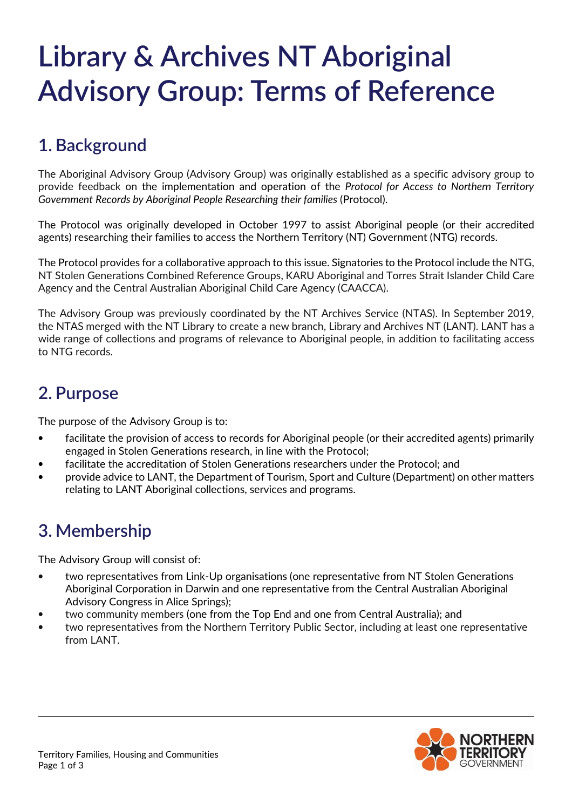# **Library & Archives NT Aboriginal Advisory Group: Terms of Reference**

## **1. Background**

The Aboriginal Advisory Group (Advisory Group) was originally established as a specific advisory group to provide feedback on the implementation and operation of the *Protocol for Access to Northern Territory Government Records by Aboriginal People Researching their families* (Protocol).

The Protocol was originally developed in October 1997 to assist Aboriginal people (or their accredited agents) researching their families to access the Northern Territory (NT) Government (NTG) records.

The Protocol provides for a collaborative approach to this issue. Signatories to the Protocol include the NTG, NT Stolen Generations Combined Reference Groups, KARU Aboriginal and Torres Strait Islander Child Care Agency and the Central Australian Aboriginal Child Care Agency (CAACCA).

The Advisory Group was previously coordinated by the NT Archives Service (NTAS). In September 2019, the NTAS merged with the NT Library to create a new branch, Library and Archives NT (LANT). LANT has a wide range of collections and programs of relevance to Aboriginal people, in addition to facilitating access to NTG records.

#### **2. Purpose**

The purpose of the Advisory Group is to:

- facilitate the provision of access to records for Aboriginal people (or their accredited agents) primarily engaged in Stolen Generations research, in line with the Protocol;
- facilitate the accreditation of Stolen Generations researchers under the Protocol; and
- provide advice to LANT, the Department of Tourism, Sport and Culture (Department) on other matters relating to LANT Aboriginal collections, services and programs.

#### **3. Membership**

The Advisory Group will consist of:

- two representatives from Link-Up organisations (one representative from NT Stolen Generations Aboriginal Corporation in Darwin and one representative from the Central Australian Aboriginal Advisory Congress in Alice Springs);
- two community members (one from the Top End and one from Central Australia); and
- two representatives from the Northern Territory Public Sector, including at least one representative from LANT.

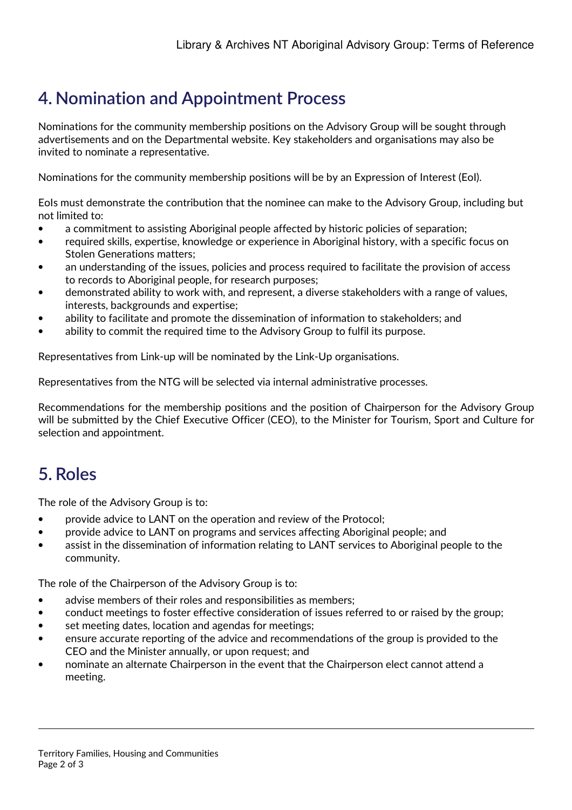# **4. Nomination and Appointment Process**

Nominations for the community membership positions on the Advisory Group will be sought through advertisements and on the Departmental website. Key stakeholders and organisations may also be invited to nominate a representative.

Nominations for the community membership positions will be by an Expression of Interest (EoI).

EoIs must demonstrate the contribution that the nominee can make to the Advisory Group, including but not limited to:

- a commitment to assisting Aboriginal people affected by historic policies of separation;
- required skills, expertise, knowledge or experience in Aboriginal history, with a specific focus on Stolen Generations matters;
- an understanding of the issues, policies and process required to facilitate the provision of access to records to Aboriginal people, for research purposes;
- demonstrated ability to work with, and represent, a diverse stakeholders with a range of values, interests, backgrounds and expertise;
- ability to facilitate and promote the dissemination of information to stakeholders; and
- ability to commit the required time to the Advisory Group to fulfil its purpose.

Representatives from Link-up will be nominated by the Link-Up organisations.

Representatives from the NTG will be selected via internal administrative processes.

Recommendations for the membership positions and the position of Chairperson for the Advisory Group will be submitted by the Chief Executive Officer (CEO), to the Minister for Tourism, Sport and Culture for selection and appointment.

#### **5. Roles**

The role of the Advisory Group is to:

- provide advice to LANT on the operation and review of the Protocol;
- provide advice to LANT on programs and services affecting Aboriginal people; and
- assist in the dissemination of information relating to LANT services to Aboriginal people to the community.

The role of the Chairperson of the Advisory Group is to:

- advise members of their roles and responsibilities as members;
- conduct meetings to foster effective consideration of issues referred to or raised by the group;
- set meeting dates, location and agendas for meetings;
- ensure accurate reporting of the advice and recommendations of the group is provided to the CEO and the Minister annually, or upon request; and
- nominate an alternate Chairperson in the event that the Chairperson elect cannot attend a meeting.